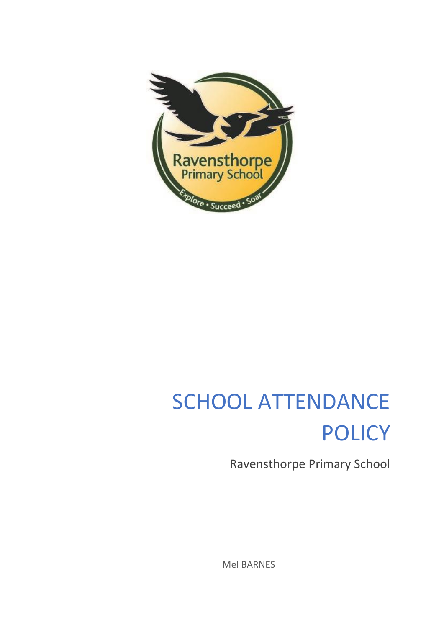

# SCHOOL ATTENDANCE POLICY

Ravensthorpe Primary School

Mel BARNES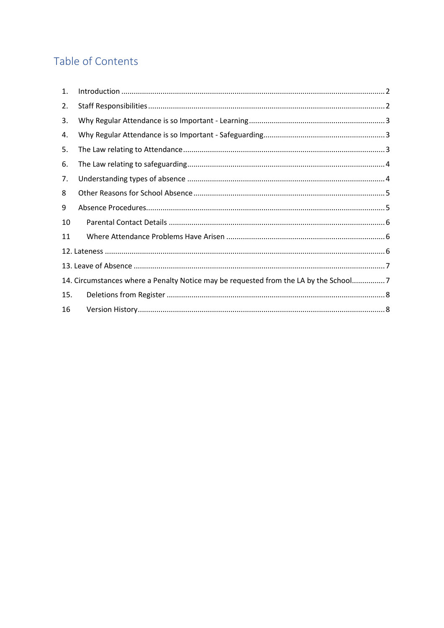# Table of Contents

| $\mathbf{1}$ . |                                                                                      |  |
|----------------|--------------------------------------------------------------------------------------|--|
| 2.             |                                                                                      |  |
| 3.             |                                                                                      |  |
| 4.             |                                                                                      |  |
| 5.             |                                                                                      |  |
| 6.             |                                                                                      |  |
| 7.             |                                                                                      |  |
| 8              |                                                                                      |  |
| 9              |                                                                                      |  |
| 10             |                                                                                      |  |
| 11             |                                                                                      |  |
|                |                                                                                      |  |
|                |                                                                                      |  |
|                | 14. Circumstances where a Penalty Notice may be requested from the LA by the School7 |  |
| 15.            |                                                                                      |  |
| 16             |                                                                                      |  |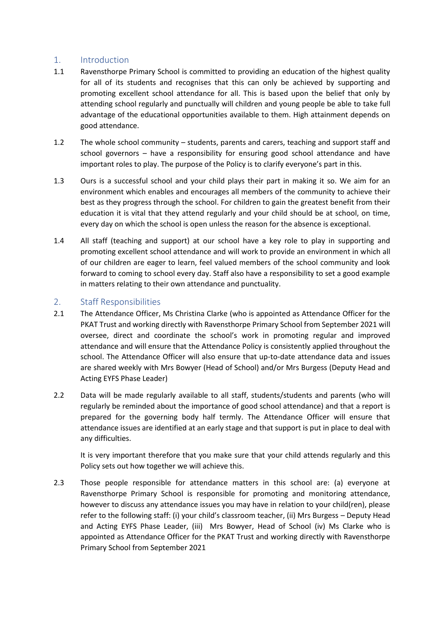## <span id="page-2-0"></span>1. Introduction

- 1.1 Ravensthorpe Primary School is committed to providing an education of the highest quality for all of its students and recognises that this can only be achieved by supporting and promoting excellent school attendance for all. This is based upon the belief that only by attending school regularly and punctually will children and young people be able to take full advantage of the educational opportunities available to them. High attainment depends on good attendance.
- 1.2 The whole school community students, parents and carers, teaching and support staff and school governors – have a responsibility for ensuring good school attendance and have important roles to play. The purpose of the Policy is to clarify everyone's part in this.
- 1.3 Ours is a successful school and your child plays their part in making it so. We aim for an environment which enables and encourages all members of the community to achieve their best as they progress through the school. For children to gain the greatest benefit from their education it is vital that they attend regularly and your child should be at school, on time, every day on which the school is open unless the reason for the absence is exceptional.
- 1.4 All staff (teaching and support) at our school have a key role to play in supporting and promoting excellent school attendance and will work to provide an environment in which all of our children are eager to learn, feel valued members of the school community and look forward to coming to school every day. Staff also have a responsibility to set a good example in matters relating to their own attendance and punctuality.

# <span id="page-2-1"></span>2. Staff Responsibilities

- 2.1 The Attendance Officer, Ms Christina Clarke (who is appointed as Attendance Officer for the PKAT Trust and working directly with Ravensthorpe Primary School from September 2021 will oversee, direct and coordinate the school's work in promoting regular and improved attendance and will ensure that the Attendance Policy is consistently applied throughout the school. The Attendance Officer will also ensure that up-to-date attendance data and issues are shared weekly with Mrs Bowyer (Head of School) and/or Mrs Burgess (Deputy Head and Acting EYFS Phase Leader)
- 2.2 Data will be made regularly available to all staff, students/students and parents (who will regularly be reminded about the importance of good school attendance) and that a report is prepared for the governing body half termly. The Attendance Officer will ensure that attendance issues are identified at an early stage and that support is put in place to deal with any difficulties.

It is very important therefore that you make sure that your child attends regularly and this Policy sets out how together we will achieve this.

2.3 Those people responsible for attendance matters in this school are: (a) everyone at Ravensthorpe Primary School is responsible for promoting and monitoring attendance, however to discuss any attendance issues you may have in relation to your child(ren), please refer to the following staff: (i) your child's classroom teacher, (ii) Mrs Burgess – Deputy Head and Acting EYFS Phase Leader, (iii) Mrs Bowyer, Head of School (iv) Ms Clarke who is appointed as Attendance Officer for the PKAT Trust and working directly with Ravensthorpe Primary School from September 2021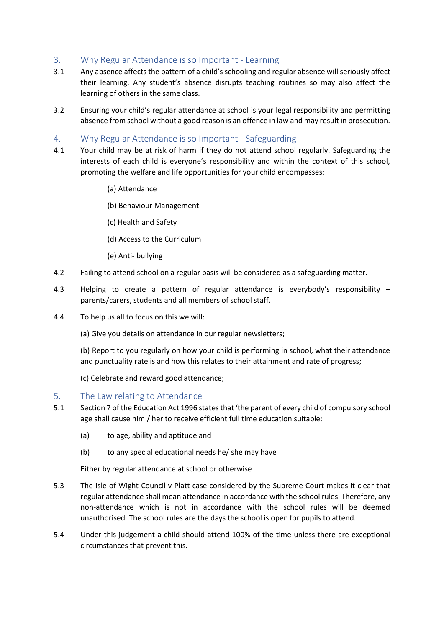# <span id="page-3-0"></span>3. Why Regular Attendance is so Important - Learning

- 3.1 Any absence affects the pattern of a child's schooling and regular absence will seriously affect their learning. Any student's absence disrupts teaching routines so may also affect the learning of others in the same class.
- 3.2 Ensuring your child's regular attendance at school is your legal responsibility and permitting absence from school without a good reason is an offence in law and may result in prosecution.
- <span id="page-3-1"></span>4. Why Regular Attendance is so Important - Safeguarding
- 4.1 Your child may be at risk of harm if they do not attend school regularly. Safeguarding the interests of each child is everyone's responsibility and within the context of this school, promoting the welfare and life opportunities for your child encompasses:
	- (a) Attendance
	- (b) Behaviour Management
	- (c) Health and Safety
	- (d) Access to the Curriculum
	- (e) Anti- bullying
- 4.2 Failing to attend school on a regular basis will be considered as a safeguarding matter.
- 4.3 Helping to create a pattern of regular attendance is everybody's responsibility parents/carers, students and all members of school staff.
- 4.4 To help us all to focus on this we will:

(a) Give you details on attendance in our regular newsletters;

(b) Report to you regularly on how your child is performing in school, what their attendance and punctuality rate is and how this relates to their attainment and rate of progress;

(c) Celebrate and reward good attendance;

#### <span id="page-3-2"></span>5. The Law relating to Attendance

- 5.1 Section 7 of the Education Act 1996 states that 'the parent of every child of compulsory school age shall cause him / her to receive efficient full time education suitable:
	- (a) to age, ability and aptitude and
	- (b) to any special educational needs he/ she may have

Either by regular attendance at school or otherwise

- 5.3 The Isle of Wight Council v Platt case considered by the Supreme Court makes it clear that regular attendance shall mean attendance in accordance with the school rules. Therefore, any non-attendance which is not in accordance with the school rules will be deemed unauthorised. The school rules are the days the school is open for pupils to attend.
- 5.4 Under this judgement a child should attend 100% of the time unless there are exceptional circumstances that prevent this.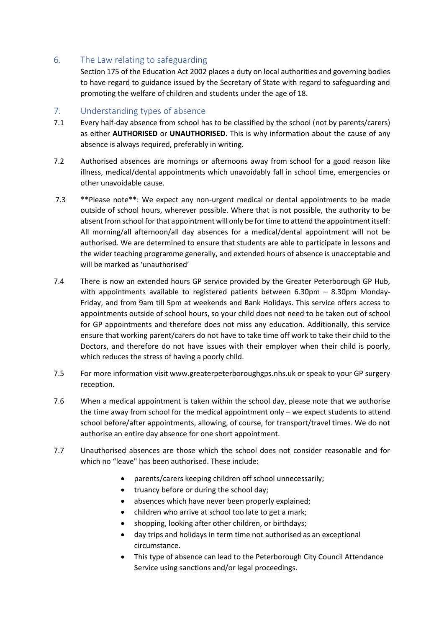# <span id="page-4-0"></span>6. The Law relating to safeguarding

Section 175 of the Education Act 2002 places a duty on local authorities and governing bodies to have regard to guidance issued by the Secretary of State with regard to safeguarding and promoting the welfare of children and students under the age of 18.

# <span id="page-4-1"></span>7. Understanding types of absence

- 7.1 Every half-day absence from school has to be classified by the school (not by parents/carers) as either **AUTHORISED** or **UNAUTHORISED**. This is why information about the cause of any absence is always required, preferably in writing.
- 7.2 Authorised absences are mornings or afternoons away from school for a good reason like illness, medical/dental appointments which unavoidably fall in school time, emergencies or other unavoidable cause.
- 7.3 \*\*Please note\*\*: We expect any non-urgent medical or dental appointments to be made outside of school hours, wherever possible. Where that is not possible, the authority to be absent from school for that appointment will only be for time to attend the appointment itself: All morning/all afternoon/all day absences for a medical/dental appointment will not be authorised. We are determined to ensure that students are able to participate in lessons and the wider teaching programme generally, and extended hours of absence is unacceptable and will be marked as 'unauthorised'
- 7.4 There is now an extended hours GP service provided by the Greater Peterborough GP Hub, with appointments available to registered patients between 6.30pm – 8.30pm Monday-Friday, and from 9am till 5pm at weekends and Bank Holidays. This service offers access to appointments outside of school hours, so your child does not need to be taken out of school for GP appointments and therefore does not miss any education. Additionally, this service ensure that working parent/carers do not have to take time off work to take their child to the Doctors, and therefore do not have issues with their employer when their child is poorly, which reduces the stress of having a poorly child.
- 7.5 For more information visit www.greaterpeterboroughgps.nhs.uk or speak to your GP surgery reception.
- 7.6 When a medical appointment is taken within the school day, please note that we authorise the time away from school for the medical appointment only – we expect students to attend school before/after appointments, allowing, of course, for transport/travel times. We do not authorise an entire day absence for one short appointment.
- 7.7 Unauthorised absences are those which the school does not consider reasonable and for which no "leave" has been authorised. These include:
	- parents/carers keeping children off school unnecessarily;
	- truancy before or during the school day;
	- absences which have never been properly explained;
	- children who arrive at school too late to get a mark;
	- shopping, looking after other children, or birthdays;
	- day trips and holidays in term time not authorised as an exceptional circumstance.
	- This type of absence can lead to the Peterborough City Council Attendance Service using sanctions and/or legal proceedings.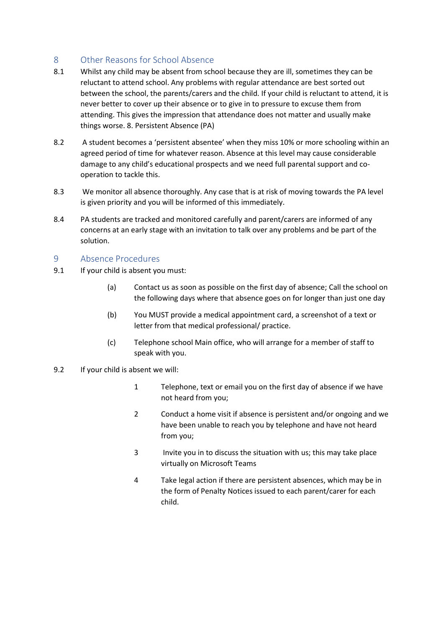# <span id="page-5-0"></span>8 Other Reasons for School Absence

- 8.1 Whilst any child may be absent from school because they are ill, sometimes they can be reluctant to attend school. Any problems with regular attendance are best sorted out between the school, the parents/carers and the child. If your child is reluctant to attend, it is never better to cover up their absence or to give in to pressure to excuse them from attending. This gives the impression that attendance does not matter and usually make things worse. 8. Persistent Absence (PA)
- 8.2 A student becomes a 'persistent absentee' when they miss 10% or more schooling within an agreed period of time for whatever reason. Absence at this level may cause considerable damage to any child's educational prospects and we need full parental support and cooperation to tackle this.
- 8.3 We monitor all absence thoroughly. Any case that is at risk of moving towards the PA level is given priority and you will be informed of this immediately.
- 8.4 PA students are tracked and monitored carefully and parent/carers are informed of any concerns at an early stage with an invitation to talk over any problems and be part of the solution.

#### <span id="page-5-1"></span>9 Absence Procedures

- 9.1 If your child is absent you must:
	- (a) Contact us as soon as possible on the first day of absence; Call the school on the following days where that absence goes on for longer than just one day
	- (b) You MUST provide a medical appointment card, a screenshot of a text or letter from that medical professional/ practice.
	- (c) Telephone school Main office, who will arrange for a member of staff to speak with you.
- 9.2 If your child is absent we will:
	- 1 Telephone, text or email you on the first day of absence if we have not heard from you;
	- 2 Conduct a home visit if absence is persistent and/or ongoing and we have been unable to reach you by telephone and have not heard from you;
	- 3 Invite you in to discuss the situation with us; this may take place virtually on Microsoft Teams
	- 4 Take legal action if there are persistent absences, which may be in the form of Penalty Notices issued to each parent/carer for each child.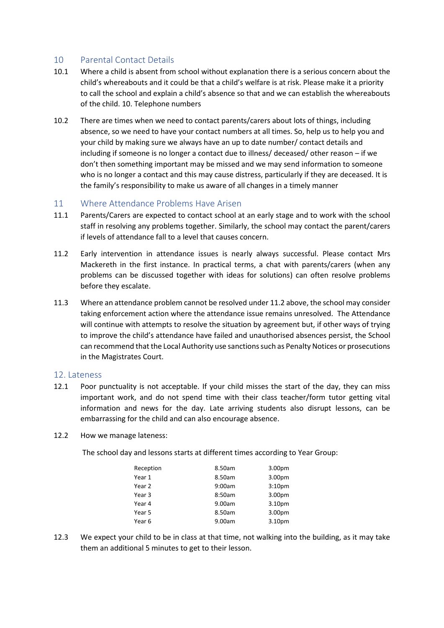# <span id="page-6-0"></span>10 Parental Contact Details

- 10.1 Where a child is absent from school without explanation there is a serious concern about the child's whereabouts and it could be that a child's welfare is at risk. Please make it a priority to call the school and explain a child's absence so that and we can establish the whereabouts of the child. 10. Telephone numbers
- 10.2 There are times when we need to contact parents/carers about lots of things, including absence, so we need to have your contact numbers at all times. So, help us to help you and your child by making sure we always have an up to date number/ contact details and including if someone is no longer a contact due to illness/ deceased/ other reason – if we don't then something important may be missed and we may send information to someone who is no longer a contact and this may cause distress, particularly if they are deceased. It is the family's responsibility to make us aware of all changes in a timely manner

#### <span id="page-6-1"></span>11 Where Attendance Problems Have Arisen

- 11.1 Parents/Carers are expected to contact school at an early stage and to work with the school staff in resolving any problems together. Similarly, the school may contact the parent/carers if levels of attendance fall to a level that causes concern.
- 11.2 Early intervention in attendance issues is nearly always successful. Please contact Mrs Mackereth in the first instance. In practical terms, a chat with parents/carers (when any problems can be discussed together with ideas for solutions) can often resolve problems before they escalate.
- 11.3 Where an attendance problem cannot be resolved under 11.2 above, the school may consider taking enforcement action where the attendance issue remains unresolved. The Attendance will continue with attempts to resolve the situation by agreement but, if other ways of trying to improve the child's attendance have failed and unauthorised absences persist, the School can recommend that the Local Authority use sanctions such as Penalty Notices or prosecutions in the Magistrates Court.

#### <span id="page-6-2"></span>12. Lateness

- 12.1 Poor punctuality is not acceptable. If your child misses the start of the day, they can miss important work, and do not spend time with their class teacher/form tutor getting vital information and news for the day. Late arriving students also disrupt lessons, can be embarrassing for the child and can also encourage absence.
- 12.2 How we manage lateness:

The school day and lessons starts at different times according to Year Group:

| Reception | 8.50am | 3.00pm             |
|-----------|--------|--------------------|
| Year 1    | 8.50am | 3.00pm             |
| Year 2    | 9:00am | 3:10 <sub>pm</sub> |
| Year 3    | 8:50am | 3.00pm             |
| Year 4    | 9.00am | 3.10pm             |
| Year 5    | 8.50am | 3.00pm             |
| Year 6    | 9.00am | 3.10pm             |

12.3 We expect your child to be in class at that time, not walking into the building, as it may take them an additional 5 minutes to get to their lesson.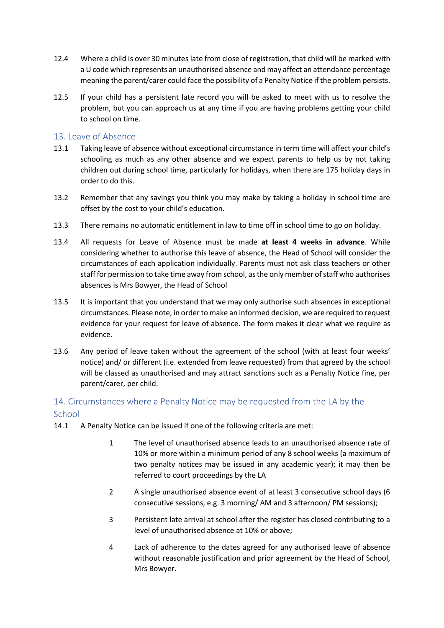- 12.4 Where a child is over 30 minutes late from close of registration, that child will be marked with a U code which represents an unauthorised absence and may affect an attendance percentage meaning the parent/carer could face the possibility of a Penalty Notice if the problem persists.
- 12.5 If your child has a persistent late record you will be asked to meet with us to resolve the problem, but you can approach us at any time if you are having problems getting your child to school on time.

# <span id="page-7-0"></span>13. Leave of Absence

- 13.1 Taking leave of absence without exceptional circumstance in term time will affect your child's schooling as much as any other absence and we expect parents to help us by not taking children out during school time, particularly for holidays, when there are 175 holiday days in order to do this.
- 13.2 Remember that any savings you think you may make by taking a holiday in school time are offset by the cost to your child's education.
- 13.3 There remains no automatic entitlement in law to time off in school time to go on holiday.
- 13.4 All requests for Leave of Absence must be made **at least 4 weeks in advance**. While considering whether to authorise this leave of absence, the Head of School will consider the circumstances of each application individually. Parents must not ask class teachers or other staff for permission to take time away from school, as the only member of staff who authorises absences is Mrs Bowyer, the Head of School
- 13.5 It is important that you understand that we may only authorise such absences in exceptional circumstances. Please note; in order to make an informed decision, we are required to request evidence for your request for leave of absence. The form makes it clear what we require as evidence.
- 13.6 Any period of leave taken without the agreement of the school (with at least four weeks' notice) and/ or different (i.e. extended from leave requested) from that agreed by the school will be classed as unauthorised and may attract sanctions such as a Penalty Notice fine, per parent/carer, per child.

# <span id="page-7-1"></span>14. Circumstances where a Penalty Notice may be requested from the LA by the **School**

- 14.1 A Penalty Notice can be issued if one of the following criteria are met:
	- 1 The level of unauthorised absence leads to an unauthorised absence rate of 10% or more within a minimum period of any 8 school weeks (a maximum of two penalty notices may be issued in any academic year); it may then be referred to court proceedings by the LA
	- 2 A single unauthorised absence event of at least 3 consecutive school days (6 consecutive sessions, e.g. 3 morning/ AM and 3 afternoon/ PM sessions);
	- 3 Persistent late arrival at school after the register has closed contributing to a level of unauthorised absence at 10% or above;
	- 4 Lack of adherence to the dates agreed for any authorised leave of absence without reasonable justification and prior agreement by the Head of School, Mrs Bowyer.